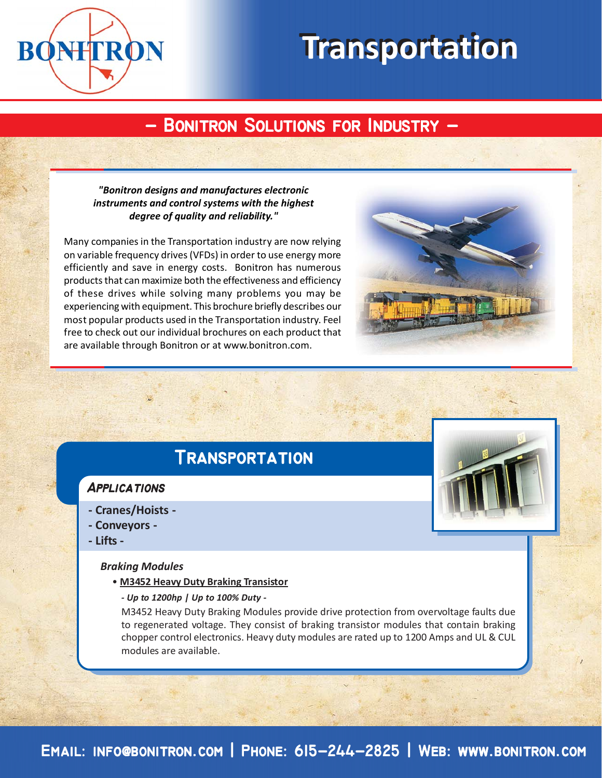

# **Transportation Transportation**

# **- Bonitron Solutions for Industry - - Bonitron Solutions for Industry -**

#### *"Bonitron designs and manufactures electronic instruments and control systems with the highest degree of quality and reliability."*

Many companies in the Transportation industry are now relying on variable frequency drives (VFDs) in order to use energy more efficiently and save in energy costs. Bonitron has numerous products that can maximize both the effectiveness and efficiency of these drives while solving many problems you may be experiencing with equipment. This brochure briefly describes our most popular products used in the Transportation industry. Feel free to check out our individual brochures on each product that are available through Bonitron or at www.bonitron.com.



## **Transportation Transportation**

### **Applications**

- **Cranes/Hoists -**
- **Conveyors -**
- **Lifts -**

#### *Braking Modules*

- **M3452 Heavy Duty Braking Transistor**
	- *Up to 1200hp | Up to 100% Duty -*

M3452 Heavy Duty Braking Modules provide drive protection from overvoltage faults due to regenerated voltage. They consist of braking transistor modules that contain braking chopper control electronics. Heavy duty modules are rated up to 1200 Amps and UL & CUL modules are available.